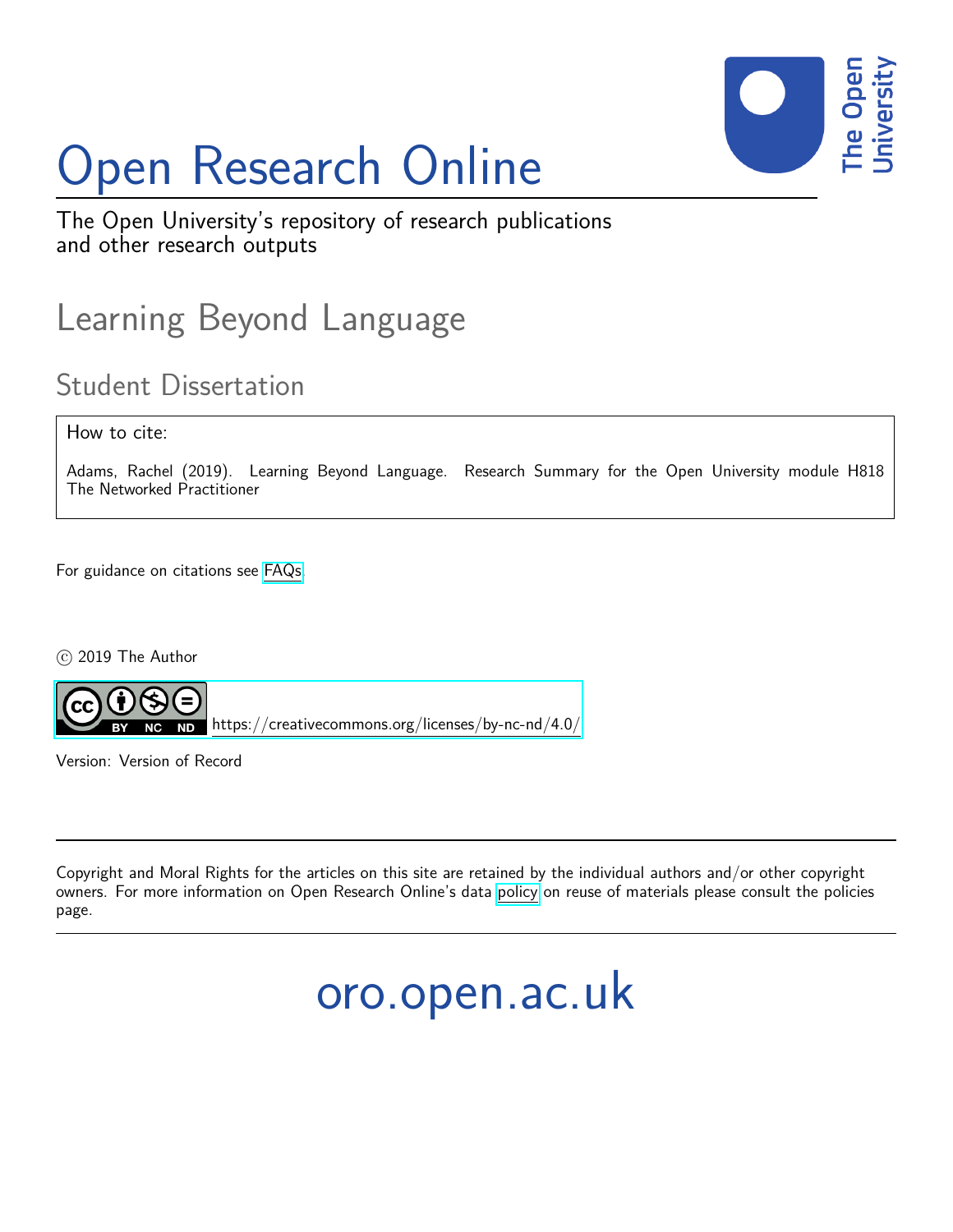

# Open Research Online

The Open University's repository of research publications and other research outputs

## Learning Beyond Language

### Student Dissertation

### How to cite:

Adams, Rachel (2019). Learning Beyond Language. Research Summary for the Open University module H818 The Networked Practitioner

For guidance on citations see [FAQs.](http://oro.open.ac.uk/help/helpfaq.html)

 $(c)$  2019 The Author



<https://creativecommons.org/licenses/by-nc-nd/4.0/>

Version: Version of Record

Copyright and Moral Rights for the articles on this site are retained by the individual authors and/or other copyright owners. For more information on Open Research Online's data [policy](http://oro.open.ac.uk/policies.html) on reuse of materials please consult the policies page.

# oro.open.ac.uk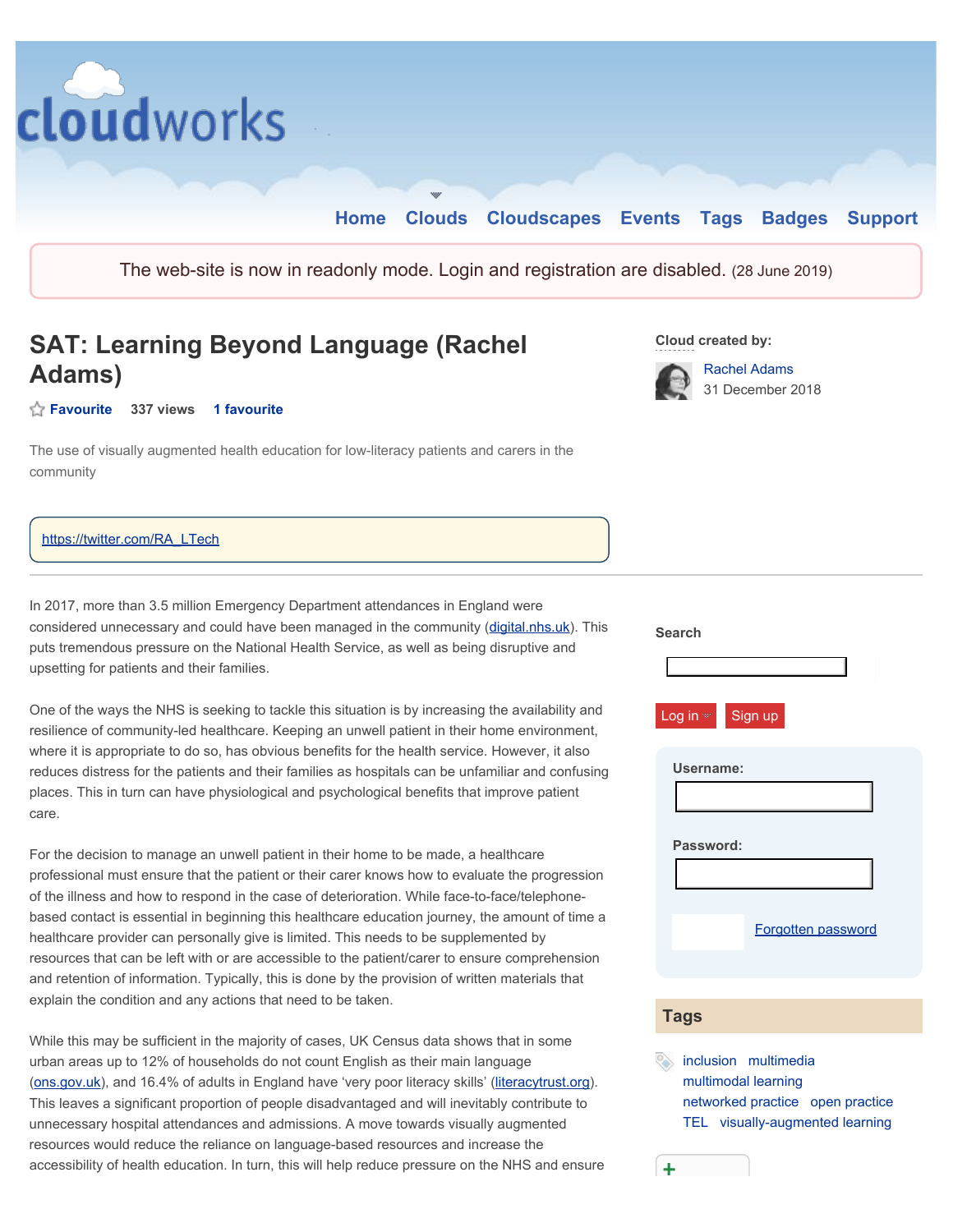

#### https://twitter.com/RA\_LTech

In 2017, more than 3.5 million Emergency Department attendances in England were considered unnecessary and could have been managed in the community [\(digital.nhs.uk](https://digital.nhs.uk)). This puts tremendous pressure on the National Health Service, as well as being disruptive and upsetting for patients and their families.

<span id="page-1-0"></span>One of the ways the NHS is seeking to tackle this situation is by increasing the availability and resilience of community-led healthcare. Keeping an unwell patient in their home environment, where it is appropriate to do so, has obvious benefits for the health service. However, it also reduces distress for the patients and their families as hospitals can be unfamiliar and confusing places. This in turn can have physiological and psychological benefits that improve patient care.

For the decision to manage an unwell patient in their home to be made, a healthcare professional must ensure that the patient or their carer knows how to evaluate the progression of the illness and how to respond in the case of deterioration. While face-to-face/telephonebased contact is essential in beginning this healthcare education journey, the amount of time a healthcare provider can personally give is limited. This needs to be supplemented by resources that can be left with or are accessible to the patient/carer to ensure comprehension and retention of information. Typically, this is done by the provision of written materials that explain the condition and any actions that need to be taken.

While this may be sufficient in the majority of cases, UK Census data shows that in some urban areas up to 12% of households do not count English as their main language (ons.gov.uk), and 16.4% of adults in England have 'very poor literacy skills' [\(literacytrust.org](https://literacytrust.org)). This leaves a significant proportion of people disadvantaged and will inevitably contribute to unnecessary hospital attendances and admissions. A move towards visually augmented resources would reduce the reliance on language-based resources and increase the accessibility of health education. In turn, this will help reduce pressure on the NHS and ensure

| <b>Search</b><br>Log in $\infty$ Sign up |
|------------------------------------------|
| Username:<br>Password:                   |
| Forgotten password<br><b>Tags</b>        |

 inclusion multimedia multimodal learning multimodal learning<br>networked practice open practice TEL visually-augmented learning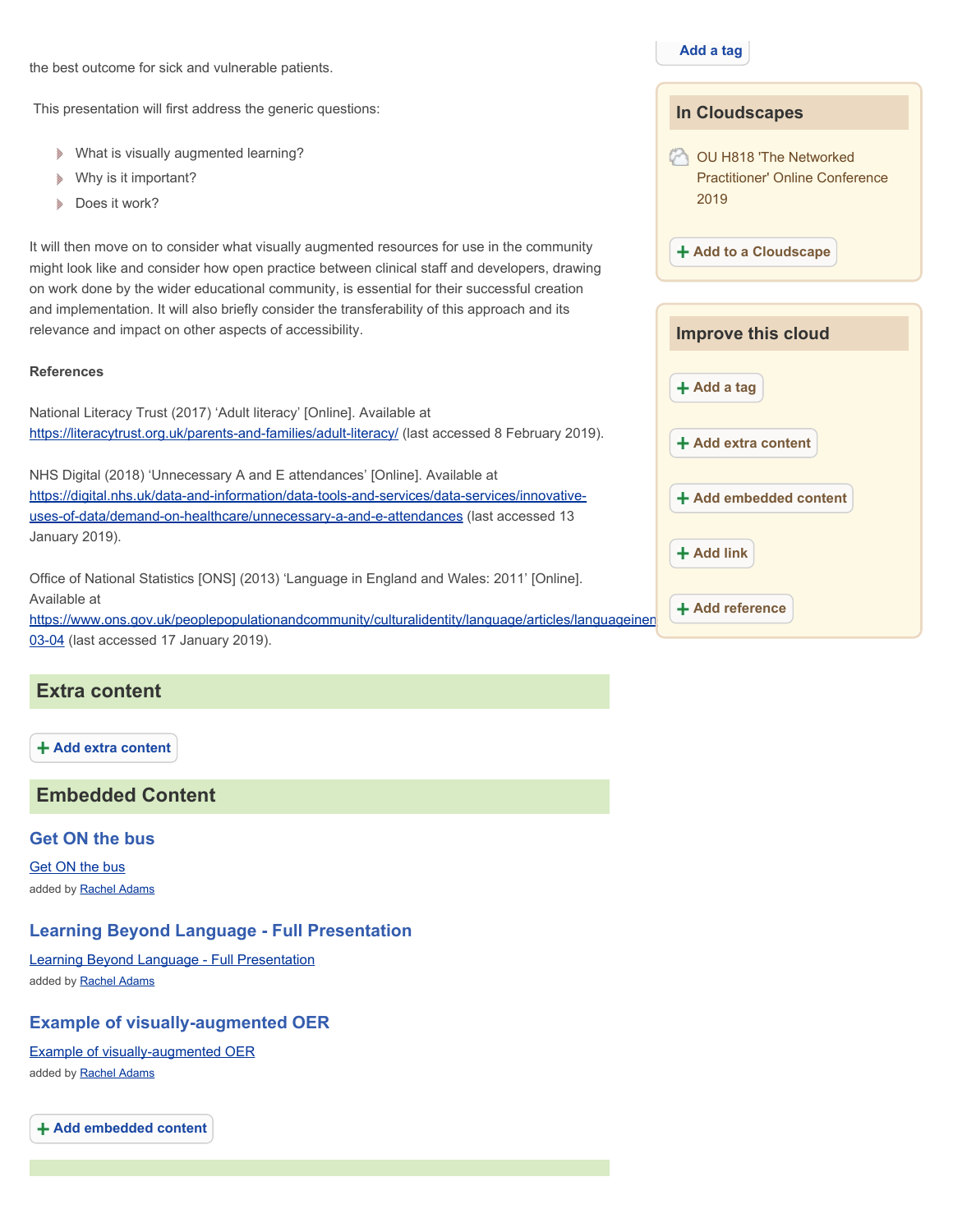the best outcome for sick and vulnerable patients.

This presentation will first address the generic questions:

- What is visually augmented learning?
- Why is it important?
- ð Does it work?

It will then move on to consider what visually augmented resources for use in the community might look like and consider how open practice between clinical staff and developers, drawing on work done by the wider educational community, is essential for their successful creation and implementation. It will also briefly consider the transferability of this approach and its relevance and impact on other aspects of accessibility.

#### **References**

National Literacy Trust (2017) 'Adult literacy' [Online]. Available at [https://literacytrust.org.uk/parents-and-families/adult-literacy/](https://literacytrust.org.uk/parents-and-families/adult-literacy) (last accessed 8 February 2019).

NHS Digital (2018) 'Unnecessary A and E attendances' [Online]. Available at <https://digital.nhs.uk/data-and-information/data-tools-and-services/data-services/innovative>uses-of-data/demand-on-healthcare/unnecessary-a-and-e-attendances (last accessed 13 January 2019).

Office of National Statistics [ONS] (2013) 'Language in England and Wales: 2011' [Online]. Available at

https://www.ons.gov.uk/peoplepopulationandcommunity/culturalidentity/language/articles/languageinen 03-04 (last accessed 17 January 2019).

#### **Extra content**

**Add extra content** 

**Embedded Content** 

#### **Get ON the bus**

Get ON the bus added by **Rachel Adams** 

#### **Learning Beyond Language - Full Presentation**

Learning Beyond Language - Full Presentation added by **Rachel Adams** 

#### **Example of visually-augmented OER**

Example of visually-augmented OER added by Rachel Adams

**Add embedded content** 

**Add a tag** 

|     | <b>In Cloudscapes</b>                                                    |
|-----|--------------------------------------------------------------------------|
|     | OU H818 'The Networked<br><b>Practitioner' Online Conference</b><br>2019 |
|     | + Add to a Cloudscape                                                    |
|     |                                                                          |
|     | <b>Improve this cloud</b>                                                |
|     | $+$ Add a tag                                                            |
|     | + Add extra content                                                      |
|     | + Add embedded content                                                   |
|     | $+$ Add link                                                             |
| าen | $+$ Add reference                                                        |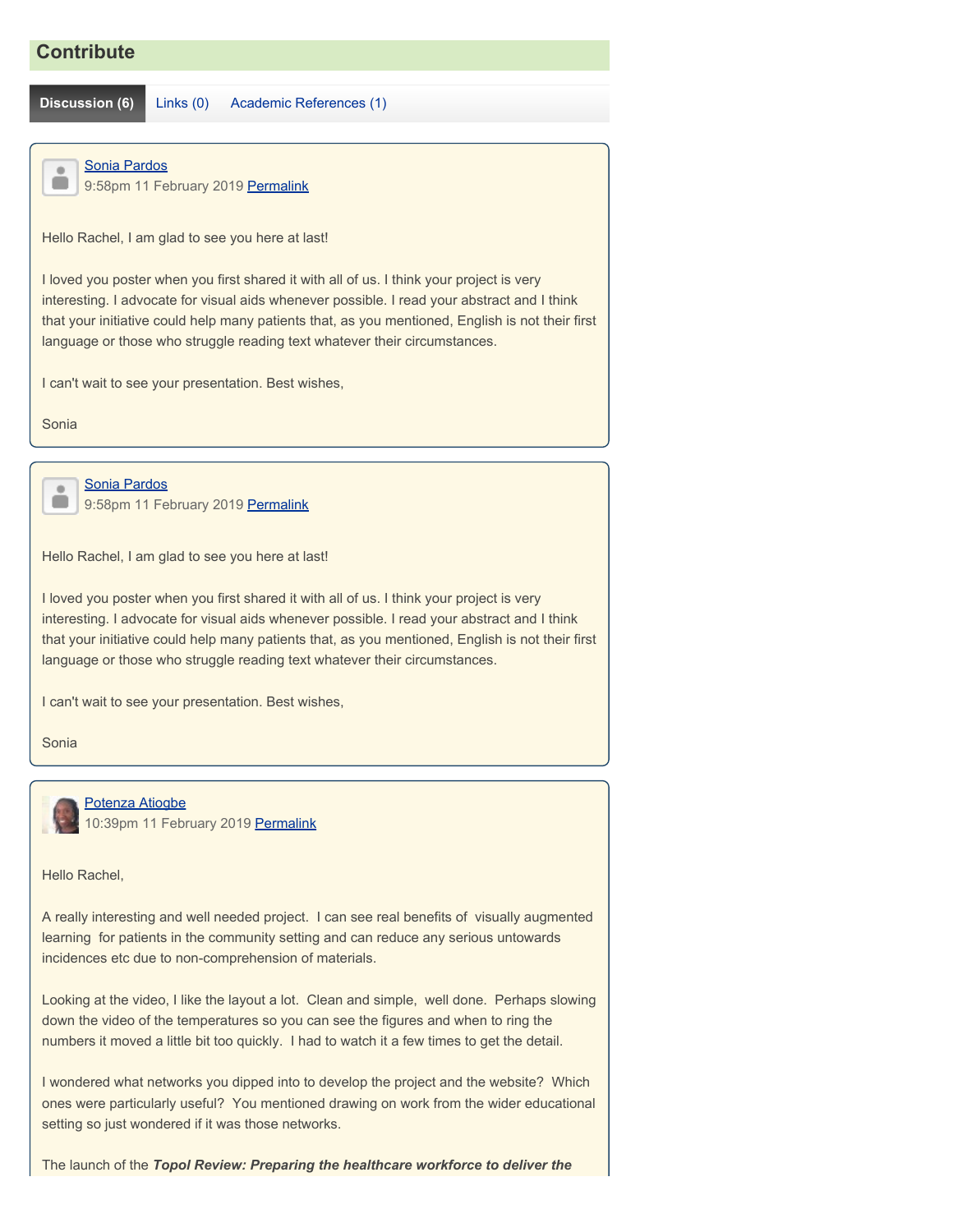### **Contribute**

**Discussion (6)** Links (0) Academic References (1)

#### <span id="page-3-0"></span> $\blacksquare$  $\blacksquare$

Sonia Pardos

9:58pm 11 February 2019 [Permalink](#page-3-0)

Hello Rachel, I am glad to see you here at last!

I loved you poster when you first shared it with all of us. I think your project is very interesting. I advocate for visual aids whenever possible. I read your abstract and I think that your initiative could help many patients that, as you mentioned, English is not their first language or those who struggle reading text whatever their circumstances.

I can't wait to see your presentation. Best wishes,

Sonia

<span id="page-3-1"></span> $\qquad \qquad \bullet$  $\blacksquare$  Sonia Pardos 9:58pm 11 February 2019 [Permalink](#page-3-1)

Hello Rachel, I am glad to see you here at last!

I loved you poster when you first shared it with all of us. I think your project is very interesting. I advocate for visual aids whenever possible. I read your abstract and I think that your initiative could help many patients that, as you mentioned, English is not their first language or those who struggle reading text whatever their circumstances.

I can't wait to see your presentation. Best wishes,

Sonia



Hello Rachel,

A really interesting and well needed project. I can see real benefits of visually augmented learning for patients in the community setting and can reduce any serious untowards incidences etc due to non-comprehension of materials.

 Looking at the video, I like the layout a lot. Clean and simple, well done. Perhaps slowing numbers it moved a little bit too quickly. I had to watch it a few times to get the detail. down the video of the temperatures so you can see the figures and when to ring the

I wondered what networks you dipped into to develop the project and the website? Which ones were particularly useful? You mentioned drawing on work from the wider educational setting so just wondered if it was those networks.

The launch of the *Topol Review: Preparing the healthcare workforce to deliver the*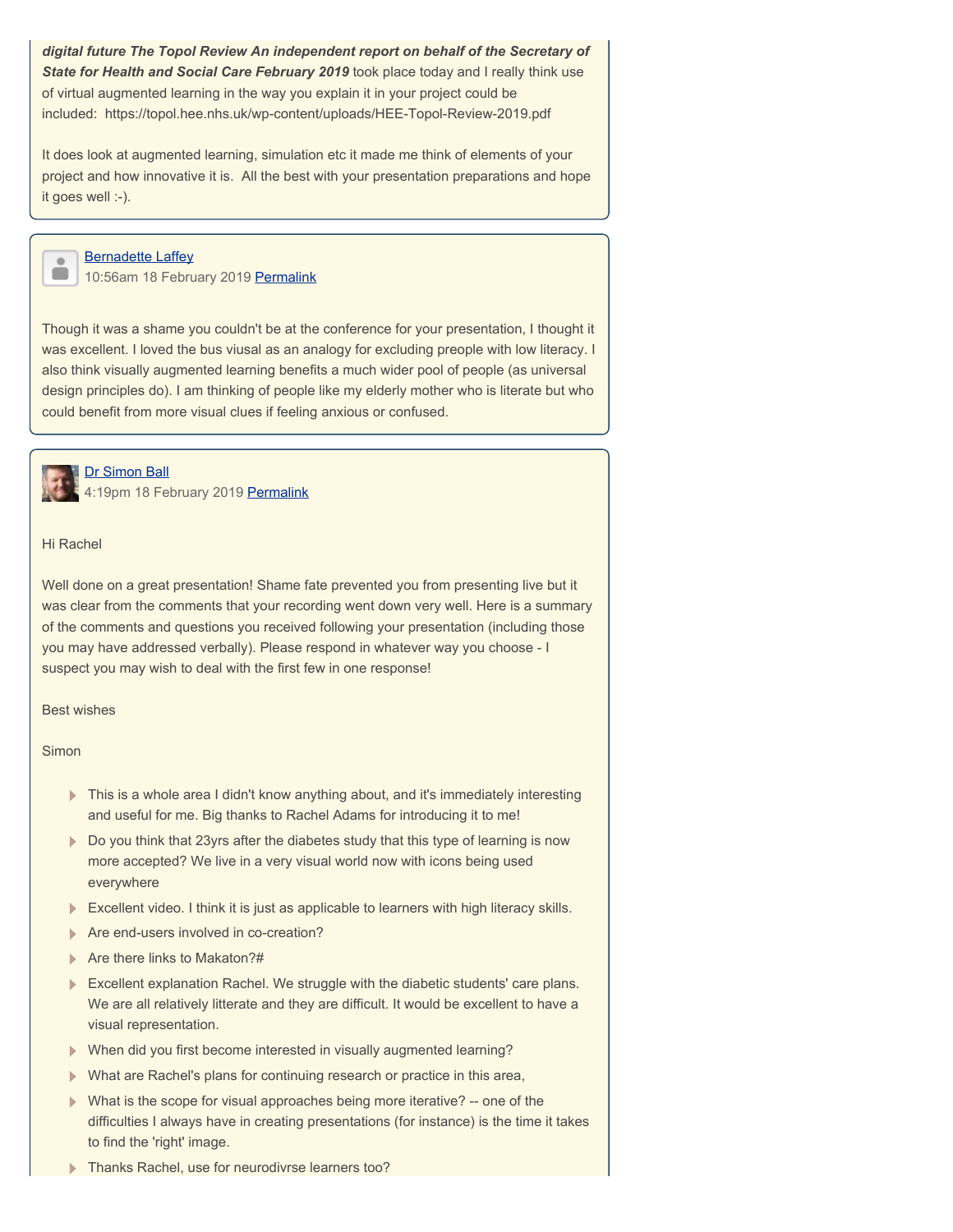<span id="page-4-0"></span> included: https://topol.hee.nhs.uk/wp-content/uploads/HEE-Topol-Review-2019.pdf *digital future The Topol Review An independent report on behalf of the Secretary of*  **State for Health and Social Care February 2019** took place today and I really think use of virtual augmented learning in the way you explain it in your project could be

It does look at augmented learning, simulation etc it made me think of elements of your project and how innovative it is. All the best with your presentation preparations and hope it goes well :-).

<span id="page-4-1"></span>

**Bernadette Laffey** 10:56am 18 February 2019 [Permalink](#page-4-1)

Though it was a shame you couldn't be at the conference for your presentation, I thought it was excellent. I loved the bus viusal as an analogy for excluding preople with low literacy. I also think visually augmented learning benefits a much wider pool of people (as universal design principles do). I am thinking of people like my elderly mother who is literate but who could benefit from more visual clues if feeling anxious or confused.



Dr Simon Ball

4:19pm 18 February 2019 [Permalink](#page-5-0)

Hi Rachel

Well done on a great presentation! Shame fate prevented you from presenting live but it was clear from the comments that your recording went down very well. Here is a summary of the comments and questions you received following your presentation (including those you may have addressed verbally). Please respond in whatever way you choose - I suspect you may wish to deal with the first few in one response!

Best wishes

Simon

- This is a whole area I didn't know anything about, and it's immediately interesting and useful for me. Big thanks to Rachel Adams for introducing it to me!
- Do you think that 23yrs after the diabetes study that this type of learning is now more accepted? We live in a very visual world now with icons being used everywhere
- **Excellent video. I think it is just as applicable to learners with high literacy skills.**
- **Are end-users involved in co-creation?**
- Are there links to Makaton?#
- **Excellent explanation Rachel. We struggle with the diabetic students' care plans.** We are all relatively litterate and they are difficult. It would be excellent to have a visual representation.
- When did you first become interested in visually augmented learning?
- What are Rachel's plans for continuing research or practice in this area,
- What is the scope for visual approaches being more iterative? -- one of the difficulties I always have in creating presentations (for instance) is the time it takes to find the 'right' image.
- Thanks Rachel, use for neurodivrse learners too?